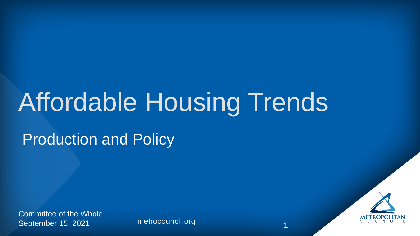## Affordable Housing Trends

### Production and Policy

Committee of the Whole September 15, 2021 [metrocouncil.org](mailto:public.info@metc.state.mn.us)

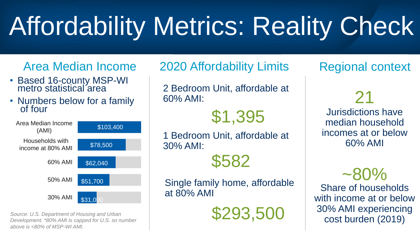# Affordability Metrics: Reality Check

Area Median Income

- Based 16-county MSP-WI metro statistical area
- Numbers below for a family of four



velopment. 60% AMI is capped for 0.3. so humber  $\overline{ }$   $\overline{ }$   $\overline{ }$   $\overline{ }$   $\overline{ }$   $\overline{ }$   $\overline{ }$   $\overline{ }$   $\overline{ }$   $\overline{ }$   $\overline{ }$   $\overline{ }$   $\overline{ }$   $\overline{ }$   $\overline{ }$   $\overline{ }$   $\overline{ }$   $\overline{ }$   $\overline{ }$   $\overline{ }$   $\overline{ }$   $\overline{$ *Source: U.S. Department of Housing and Urban Development. \*80% AMI is capped for U.S. so number above is <80% of MSP-WI AMI.*

#### 2020 Affordability Limits

2 Bedroom Unit, affordable at 60% AMI:

\$1,395

1 Bedroom Unit, affordable at 30% AMI:

\$582

Single family home, affordable at 80% AMI

\$293,500

Regional context

21 Jurisdictions have median household incomes at or below 60% AMI

 $-80\%$ Share of households with income at or below 30% AMI experiencing cost burden (2019)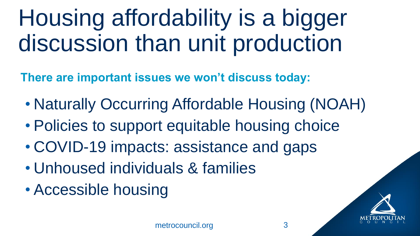## Housing affordability is a bigger discussion than unit production

**There are important issues we won't discuss today:** 

- Naturally Occurring Affordable Housing (NOAH)
- Policies to support equitable housing choice
- COVID-19 impacts: assistance and gaps
- Unhoused individuals & families
- Accessible housing

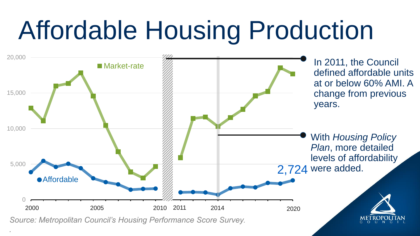## Affordable Housing Production



*.*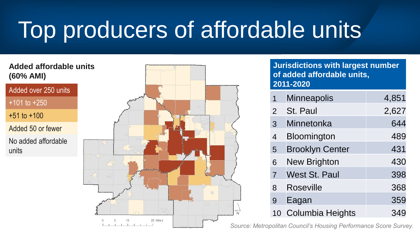## Top producers of affordable units

#### **Added affordable units (60% AMI)**

Added over 250 units

+101 to +250

 $+51$  to  $+100$ 

Added 50 or fewer

No added affordable units



#### **Jurisdictions with largest number of added affordable units, 2011-2020**

| 1              | <b>Minneapolis</b>      | 4,851 |
|----------------|-------------------------|-------|
| $\overline{2}$ | St. Paul                | 2,627 |
| 3              | Minnetonka              | 644   |
| $\overline{4}$ | Bloomington             | 489   |
| 5              | <b>Brooklyn Center</b>  | 431   |
| 6              | <b>New Brighton</b>     | 430   |
| $\overline{7}$ | <b>West St. Paul</b>    | 398   |
| 8              | <b>Roseville</b>        | 368   |
| 9              | Eagan                   | 359   |
| 10             | <b>Columbia Heights</b> | 349   |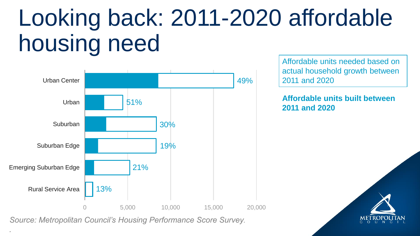### Looking back: 2011-2020 affordable housing need



arec. Metropolitan Council s'housing i chomiance Seore Sarvey. *Source: Metropolitan Council's Housing Performance Score Survey.*

*.*

Affordable units needed based on actual household growth between 2011 and 2020

**Affordable units built between 2011 and 2020** 

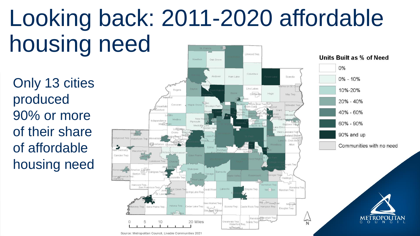#### Looking back: 2011-2020 affordable housing need Linwood Twp Units Built as % of Need

Only 13 cities produced 90% or more of their share of affordable housing need







Source: Metropolitan Council, Livable Communities 2021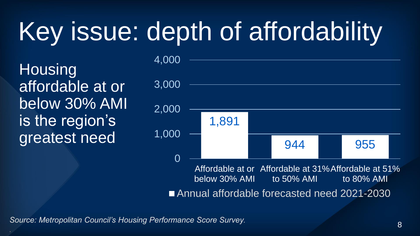# Key issue: depth of affordability

**Housing** affordable at or below 30% AMI is the region's greatest need



*Source: Metropolitan Council's Housing Performance Score Survey.*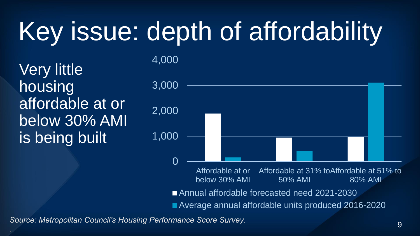# Key issue: depth of affordability

Very little housing affordable at or below 30% AMI is being built



*Source: Metropolitan Council's Housing Performance Score Survey.*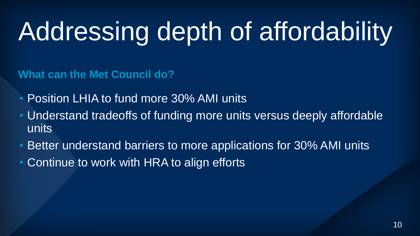# Addressing depth of affordability

**What can the Met Council do?**

- Position LHIA to fund more 30% AMI units
- Understand tradeoffs of funding more units versus deeply affordable units
- Better understand barriers to more applications for 30% AMI units
- Continue to work with HRA to align efforts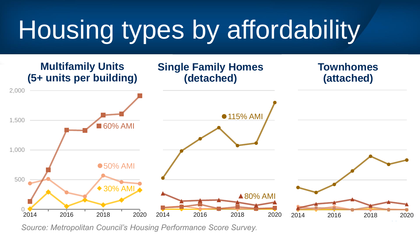## Housing types by affordability



Source: Metropolitan Council's Housing Performance Score Survey.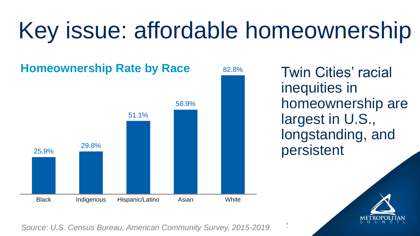## Key issue: affordable homeownership



Twin Cities' racial inequities in homeownership are largest in U.S., longstanding, and

12



*Source: U.S. Census Bureau, American Community Survey, 2015-2019.*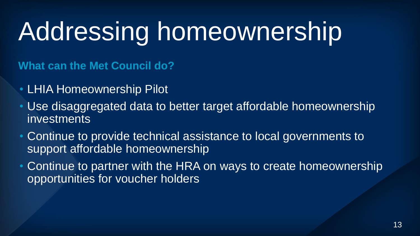## Addressing homeownership

**What can the Met Council do?**

- LHIA Homeownership Pilot
- Use disaggregated data to better target affordable homeownership investments
- Continue to provide technical assistance to local governments to support affordable homeownership
- Continue to partner with the HRA on ways to create homeownership opportunities for voucher holders